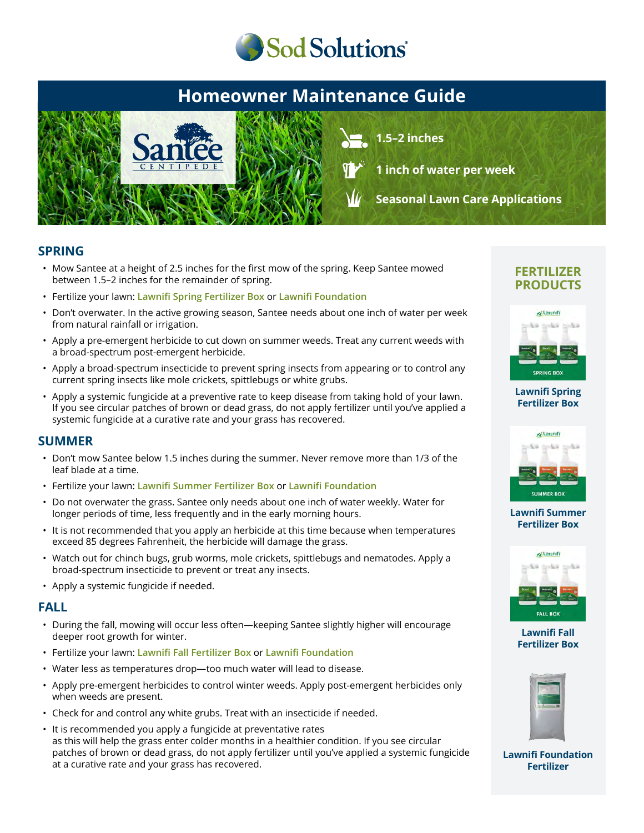

# **Homeowner Maintenance Guide**



**1.5–2 inches**

**1 inch of water per week**

**Seasonal Lawn Care Applications**

### **SPRING**

- Mow Santee at a height of 2.5 inches for the first mow of the spring. Keep Santee mowed between 1.5–2 inches for the remainder of spring.
- Fertilize your lawn: **Lawnifi Spring Fertilizer Box** or **Lawnifi Foundation**
- Don't overwater. In the active growing season, Santee needs about one inch of water per week from natural rainfall or irrigation.
- Apply a pre-emergent herbicide to cut down on summer weeds. Treat any current weeds with a broad-spectrum post-emergent herbicide.
- Apply a broad-spectrum insecticide to prevent spring insects from appearing or to control any current spring insects like mole crickets, spittlebugs or white grubs.
- Apply a systemic fungicide at a preventive rate to keep disease from taking hold of your lawn. If you see circular patches of brown or dead grass, do not apply fertilizer until you've applied a systemic fungicide at a curative rate and your grass has recovered.

### **SUMMER**

- Don't mow Santee below 1.5 inches during the summer. Never remove more than 1/3 of the leaf blade at a time.
- Fertilize your lawn: **Lawnifi Summer Fertilizer Box** or **Lawnifi Foundation**
- Do not overwater the grass. Santee only needs about one inch of water weekly. Water for longer periods of time, less frequently and in the early morning hours.
- It is not recommended that you apply an herbicide at this time because when temperatures exceed 85 degrees Fahrenheit, the herbicide will damage the grass.
- Watch out for chinch bugs, grub worms, mole crickets, spittlebugs and nematodes. Apply a broad-spectrum insecticide to prevent or treat any insects.
- Apply a systemic fungicide if needed.

### **FALL**

- During the fall, mowing will occur less often—keeping Santee slightly higher will encourage deeper root growth for winter.
- Fertilize your lawn: **Lawnifi Fall Fertilizer Box** or **Lawnifi Foundation**
- Water less as temperatures drop—too much water will lead to disease.
- Apply pre-emergent herbicides to control winter weeds. Apply post-emergent herbicides only when weeds are present.
- Check for and control any white grubs. Treat with an insecticide if needed.
- It is recommended you apply a fungicide at preventative rates as this will help the grass enter colder months in a healthier condition. If you see circular patches of brown or dead grass, do not apply fertilizer until you've applied a systemic fungicide at a curative rate and your grass has recovered.

### **FERTILIZER PRODUCTS**



#### **[Lawnifi Spring](https://sodsolutions.com/shop/fertilizer/spring-fertilizer-box/) Fertilizer Box**



#### **[Lawnifi Summer](https://sodsolutions.com/shop/fertilizer/summer-fertilizer-box/) Fertilizer Box**



**Lawnifi Fall [Fertilizer Box](https://sodsolutions.com/shop/fertilizer/fall-fertilizer-box/)**



**[Lawnifi Foundation](https://sodsolutions.com/shop/fertilizer/lawnifi-foundation/) Fertilizer**